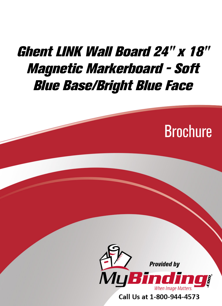## Ghent LINK Wall Board 24" x 18" [Magnetic Markerboard - Soft](https://www.mybinding.com/ghent-link-wall-board-magnetic-markerboard-soft-blue-base-bright-blue-face.html?sku=LWB2418BB)  Blue Base/Bright Blue Face





Call Us at 1-800-944-4573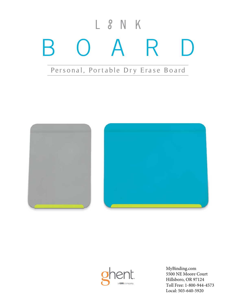# BOARD Personal, Portable Dry Erase Board  $L$   $S$  N K







[MyBinding.com](http://www.mybinding.com) 5500 NE Moore Court Hillsboro, OR 97124 Toll Free: 1-800-944-4573 Local: 503-640-5920